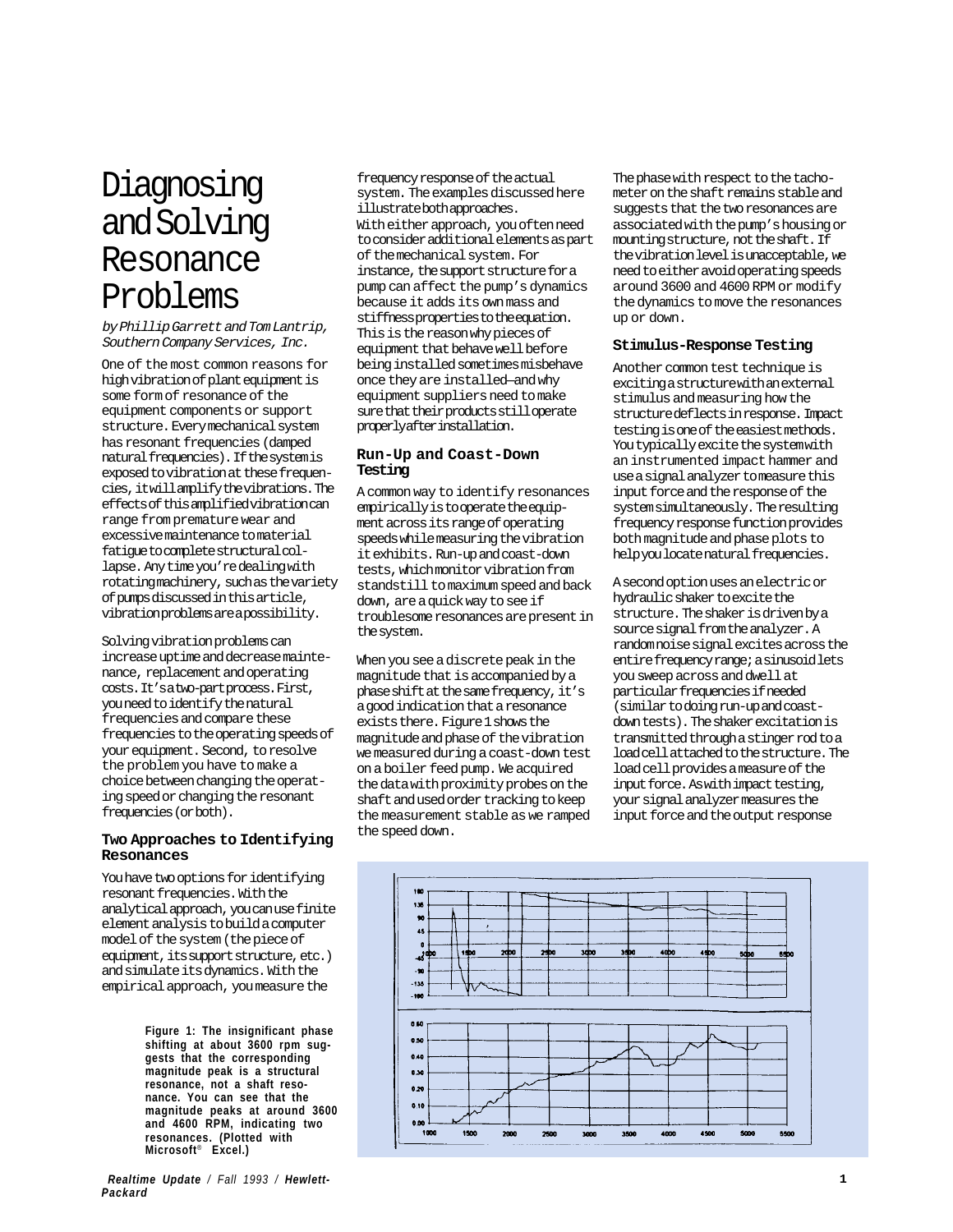# Diagnosing and Solving Resonance Problems

by Phillip Garrett and Tom Lantrip, Southern Company Services, Inc.

One of the most common reasons for high vibration of plant equipment is some form of resonance of the equipment components or support structure. Every mechanical system has resonant frequencies (damped natural frequencies). If the system is exposed to vibration at these frequencies, it will amplify the vibrations. The effects of this amplified vibration can range from premature wear and excessive maintenance to material fatigue to complete structural collapse. Any time you're dealing with rotating machinery, such as the variety of pumps discussed in this article, vibration problems are a possibility.

Solving vibration problems can increase uptime and decrease maintenance, replacement and operating costs. It's a two-part process. First, you need to identify the natural frequencies and compare these frequencies to the operating speeds of your equipment. Second, to resolve the problem you have to make a choice between changing the operating speed or changing the resonant frequencies (or both).

#### **Two Approaches to Identifying Resonances**

You have two options for identifying resonant frequencies. With the analytical approach, you can use finite element analysis to build a computer model of the system (the piece of equipment, its support structure, etc.) and simulate its dynamics. With the empirical approach, you measure the

> **Figure 1: The insignificant phase shifting at about 3600 rpm suggests that the corresponding magnitude peak is a structural resonance, not a shaft resonance. You can see that the magnitude peaks at around 3600 and 4600 RPM, indicating two resonances. (Plotted with Microsoft**® **Excel.)**

*Realtime Update / Fall 1993 / Hewlett-Packard*

frequency response of the actual system. The examples discussed here illustrate both approaches. With either approach, you often need to consider additional elements as part of the mechanical system. For instance, the support structure for a pump can affect the pump's dynamics because it adds its own mass and stiffness properties to the equation. This is the reason why pieces of equipment that behave well before being installed sometimes misbehave once they are installed—and why equipment suppliers need to make sure that their products still operate properly after installation.

## **Run-Up and Coast-Down Testing**

A common way to identify resonances empirically is to operate the equipment across its range of operating speeds while measuring the vibration it exhibits. Run-up and coast-down tests, which monitor vibration from standstill to maximum speed and back down, are a quick way to see if troublesome resonances are present in the system.

When you see a discrete peak in the magnitude that is accompanied by a phase shift at the same frequency, it's a good indication that a resonance exists there. Figure 1 shows the magnitude and phase of the vibration we measured during a coast-down test on a boiler feed pump. We acquired the data with proximity probes on the shaft and used order tracking to keep the measurement stable as we ramped the speed down.

The phase with respect to the tachometer on the shaft remains stable and suggests that the two resonances are associated with the pump's housing or mounting structure, not the shaft. If the vibration level is unacceptable, we need to either avoid operating speeds around 3600 and 4600 RPM or modify the dynamics to move the resonances up or down.

## **Stimulus-Response Testing**

Another common test technique is exciting a structure with an external stimulus and measuring how the structure deflects in response. Impact testing is one of the easiest methods. You typically excite the system with an instrumented impact hammer and use a signal analyzer to measure this input force and the response of the system simultaneously. The resulting frequency response function provides both magnitude and phase plots to help you locate natural frequencies.

A second option uses an electric or hydraulic shaker to excite the structure. The shaker is driven by a source signal from the analyzer. A random noise signal excites across the entire frequency range; a sinusoid lets you sweep across and dwell at particular frequencies if needed (similar to doing run-up and coastdown tests). The shaker excitation is transmitted through a stinger rod to a load cell attached to the structure. The load cell provides a measure of the input force. As with impact testing, your signal analyzer measures the input force and the output response